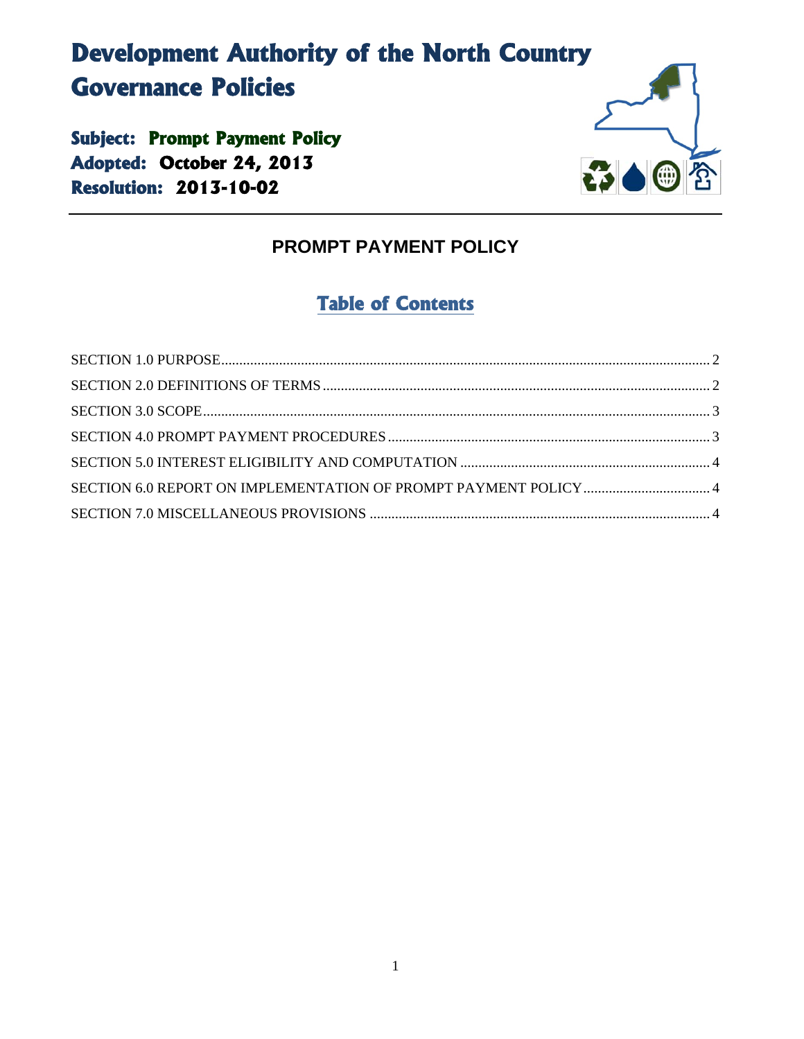# **Development Authority of the North Country Governance Policies**

**Subject: Prompt Payment Policy Adopted: October 24, 2013 Resolution: 2013-10-02** 



## **PROMPT PAYMENT POLICY**

# **Table of Contents**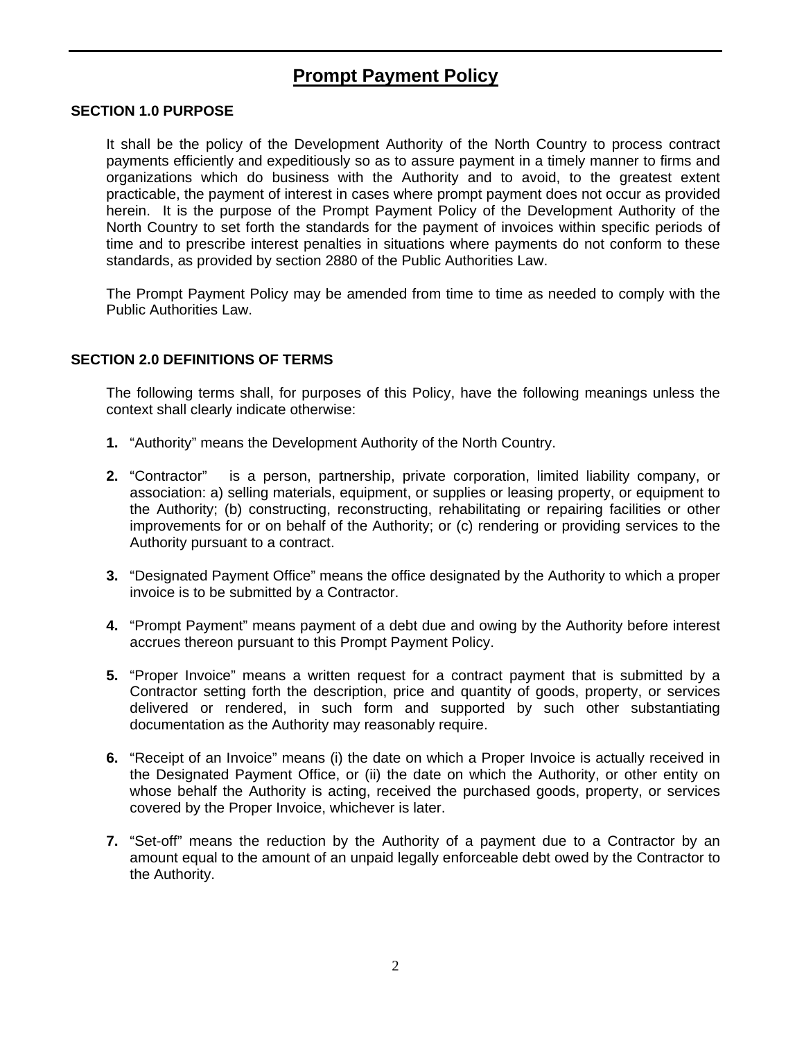### **Prompt Payment Policy**

#### **SECTION 1.0 PURPOSE**

It shall be the policy of the Development Authority of the North Country to process contract payments efficiently and expeditiously so as to assure payment in a timely manner to firms and organizations which do business with the Authority and to avoid, to the greatest extent practicable, the payment of interest in cases where prompt payment does not occur as provided herein. It is the purpose of the Prompt Payment Policy of the Development Authority of the North Country to set forth the standards for the payment of invoices within specific periods of time and to prescribe interest penalties in situations where payments do not conform to these standards, as provided by section 2880 of the Public Authorities Law.

The Prompt Payment Policy may be amended from time to time as needed to comply with the Public Authorities Law.

#### **SECTION 2.0 DEFINITIONS OF TERMS**

The following terms shall, for purposes of this Policy, have the following meanings unless the context shall clearly indicate otherwise:

- **1.** "Authority" means the Development Authority of the North Country.
- **2.** "Contractor" is a person, partnership, private corporation, limited liability company, or association: a) selling materials, equipment, or supplies or leasing property, or equipment to the Authority; (b) constructing, reconstructing, rehabilitating or repairing facilities or other improvements for or on behalf of the Authority; or (c) rendering or providing services to the Authority pursuant to a contract.
- **3.** "Designated Payment Office" means the office designated by the Authority to which a proper invoice is to be submitted by a Contractor.
- **4.** "Prompt Payment" means payment of a debt due and owing by the Authority before interest accrues thereon pursuant to this Prompt Payment Policy.
- **5.** "Proper Invoice" means a written request for a contract payment that is submitted by a Contractor setting forth the description, price and quantity of goods, property, or services delivered or rendered, in such form and supported by such other substantiating documentation as the Authority may reasonably require.
- **6.** "Receipt of an Invoice" means (i) the date on which a Proper Invoice is actually received in the Designated Payment Office, or (ii) the date on which the Authority, or other entity on whose behalf the Authority is acting, received the purchased goods, property, or services covered by the Proper Invoice, whichever is later.
- **7.** "Set-off" means the reduction by the Authority of a payment due to a Contractor by an amount equal to the amount of an unpaid legally enforceable debt owed by the Contractor to the Authority.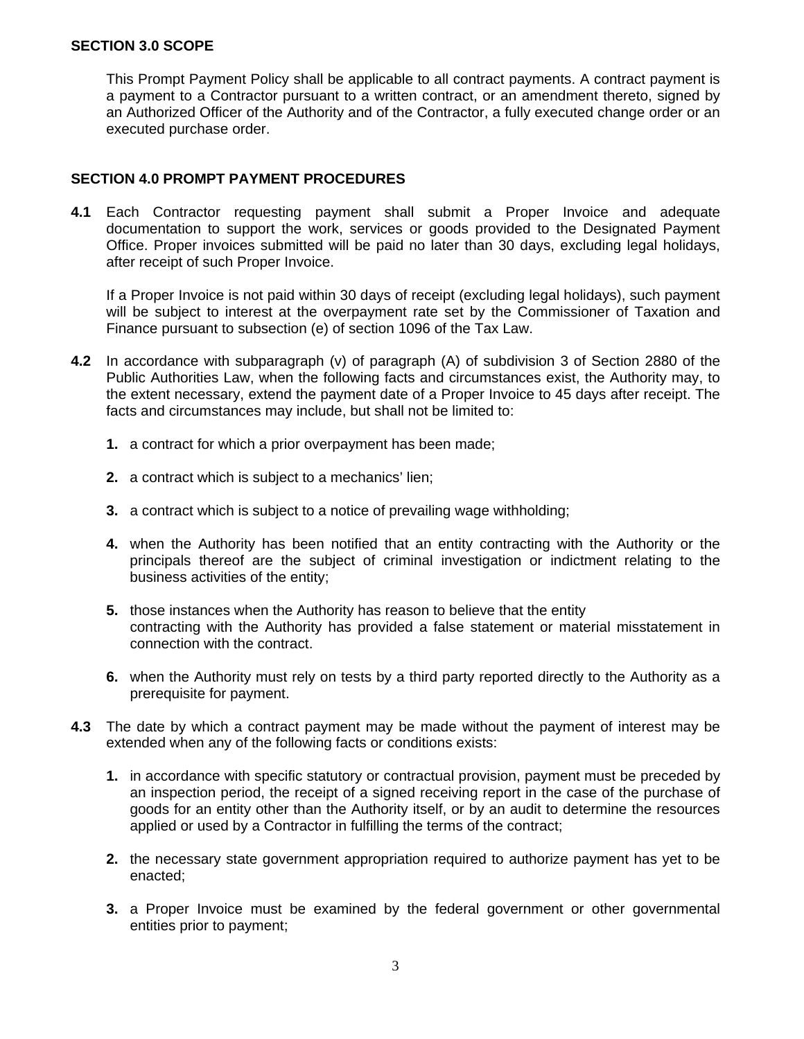#### **SECTION 3.0 SCOPE**

This Prompt Payment Policy shall be applicable to all contract payments. A contract payment is a payment to a Contractor pursuant to a written contract, or an amendment thereto, signed by an Authorized Officer of the Authority and of the Contractor, a fully executed change order or an executed purchase order.

#### **SECTION 4.0 PROMPT PAYMENT PROCEDURES**

**4.1** Each Contractor requesting payment shall submit a Proper Invoice and adequate documentation to support the work, services or goods provided to the Designated Payment Office. Proper invoices submitted will be paid no later than 30 days, excluding legal holidays, after receipt of such Proper Invoice.

If a Proper Invoice is not paid within 30 days of receipt (excluding legal holidays), such payment will be subject to interest at the overpayment rate set by the Commissioner of Taxation and Finance pursuant to subsection (e) of section 1096 of the Tax Law.

- **4.2** In accordance with subparagraph (v) of paragraph (A) of subdivision 3 of Section 2880 of the Public Authorities Law, when the following facts and circumstances exist, the Authority may, to the extent necessary, extend the payment date of a Proper Invoice to 45 days after receipt. The facts and circumstances may include, but shall not be limited to:
	- **1.** a contract for which a prior overpayment has been made;
	- **2.** a contract which is subject to a mechanics' lien;
	- **3.** a contract which is subject to a notice of prevailing wage withholding;
	- **4.** when the Authority has been notified that an entity contracting with the Authority or the principals thereof are the subject of criminal investigation or indictment relating to the business activities of the entity;
	- **5.** those instances when the Authority has reason to believe that the entity contracting with the Authority has provided a false statement or material misstatement in connection with the contract.
	- **6.** when the Authority must rely on tests by a third party reported directly to the Authority as a prerequisite for payment.
- **4.3** The date by which a contract payment may be made without the payment of interest may be extended when any of the following facts or conditions exists:
	- **1.** in accordance with specific statutory or contractual provision, payment must be preceded by an inspection period, the receipt of a signed receiving report in the case of the purchase of goods for an entity other than the Authority itself, or by an audit to determine the resources applied or used by a Contractor in fulfilling the terms of the contract;
	- **2.** the necessary state government appropriation required to authorize payment has yet to be enacted;
	- **3.** a Proper Invoice must be examined by the federal government or other governmental entities prior to payment;